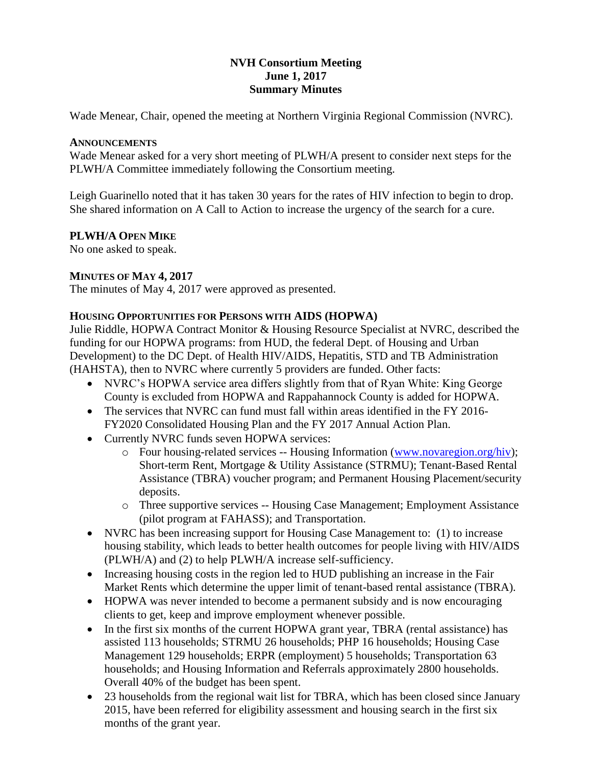## **NVH Consortium Meeting June 1, 2017 Summary Minutes**

Wade Menear, Chair, opened the meeting at Northern Virginia Regional Commission (NVRC).

## **ANNOUNCEMENTS**

Wade Menear asked for a very short meeting of PLWH/A present to consider next steps for the PLWH/A Committee immediately following the Consortium meeting.

Leigh Guarinello noted that it has taken 30 years for the rates of HIV infection to begin to drop. She shared information on A Call to Action to increase the urgency of the search for a cure.

# **PLWH/A OPEN MIKE**

No one asked to speak.

## **MINUTES OF MAY 4, 2017**

The minutes of May 4, 2017 were approved as presented.

## **HOUSING OPPORTUNITIES FOR PERSONS WITH AIDS (HOPWA)**

Julie Riddle, HOPWA Contract Monitor & Housing Resource Specialist at NVRC, described the funding for our HOPWA programs: from HUD, the federal Dept. of Housing and Urban Development) to the DC Dept. of Health HIV/AIDS, Hepatitis, STD and TB Administration (HAHSTA), then to NVRC where currently 5 providers are funded. Other facts:

- NVRC's HOPWA service area differs slightly from that of Ryan White: King George County is excluded from HOPWA and Rappahannock County is added for HOPWA.
- The services that NVRC can fund must fall within areas identified in the FY 2016- FY2020 Consolidated Housing Plan and the FY 2017 Annual Action Plan.
- Currently NVRC funds seven HOPWA services:
	- o Four housing-related services -- Housing Information [\(www.novaregion.org/hiv\)](http://www.novaregion.org/hiv); Short-term Rent, Mortgage & Utility Assistance (STRMU); Tenant-Based Rental Assistance (TBRA) voucher program; and Permanent Housing Placement/security deposits.
	- o Three supportive services -- Housing Case Management; Employment Assistance (pilot program at FAHASS); and Transportation.
- NVRC has been increasing support for Housing Case Management to: (1) to increase housing stability, which leads to better health outcomes for people living with HIV/AIDS (PLWH/A) and (2) to help PLWH/A increase self-sufficiency.
- Increasing housing costs in the region led to HUD publishing an increase in the Fair Market Rents which determine the upper limit of tenant-based rental assistance (TBRA).
- HOPWA was never intended to become a permanent subsidy and is now encouraging clients to get, keep and improve employment whenever possible.
- In the first six months of the current HOPWA grant year, TBRA (rental assistance) has assisted 113 households; STRMU 26 households; PHP 16 households; Housing Case Management 129 households; ERPR (employment) 5 households; Transportation 63 households; and Housing Information and Referrals approximately 2800 households. Overall 40% of the budget has been spent.
- 23 households from the regional wait list for TBRA, which has been closed since January 2015, have been referred for eligibility assessment and housing search in the first six months of the grant year.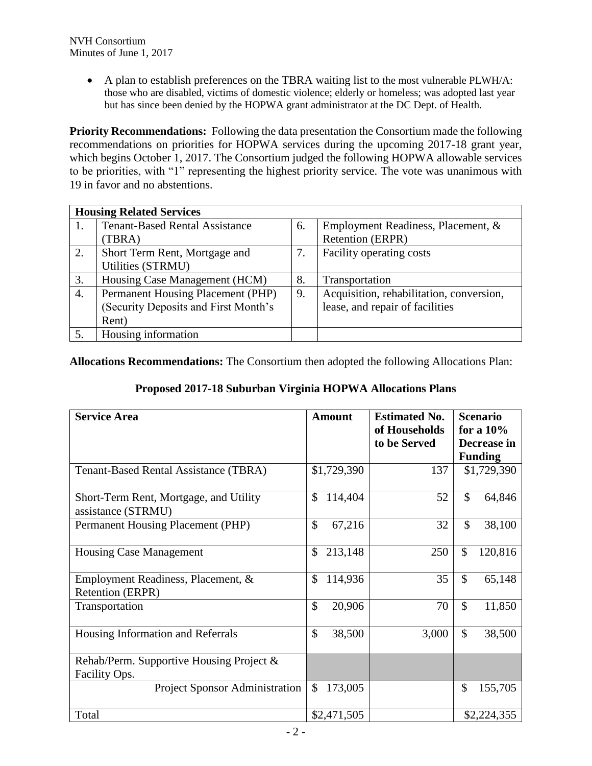A plan to establish preferences on the TBRA waiting list to the most vulnerable PLWH/A: those who are disabled, victims of domestic violence; elderly or homeless; was adopted last year but has since been denied by the HOPWA grant administrator at the DC Dept. of Health.

**Priority Recommendations:** Following the data presentation the Consortium made the following recommendations on priorities for HOPWA services during the upcoming 2017-18 grant year, which begins October 1, 2017. The Consortium judged the following HOPWA allowable services to be priorities, with "1" representing the highest priority service. The vote was unanimous with 19 in favor and no abstentions.

| <b>Housing Related Services</b> |                                       |    |                                          |  |  |
|---------------------------------|---------------------------------------|----|------------------------------------------|--|--|
| 1.                              | <b>Tenant-Based Rental Assistance</b> | 6. | Employment Readiness, Placement, &       |  |  |
|                                 | (TBRA)                                |    | Retention (ERPR)                         |  |  |
| 2.                              | Short Term Rent, Mortgage and         | 7. | Facility operating costs                 |  |  |
|                                 | Utilities (STRMU)                     |    |                                          |  |  |
| 3.                              | Housing Case Management (HCM)         | 8. | Transportation                           |  |  |
| 4.                              | Permanent Housing Placement (PHP)     | 9. | Acquisition, rehabilitation, conversion, |  |  |
|                                 | (Security Deposits and First Month's  |    | lease, and repair of facilities          |  |  |
|                                 | Rent)                                 |    |                                          |  |  |
| 5.                              | Housing information                   |    |                                          |  |  |

**Allocations Recommendations:** The Consortium then adopted the following Allocations Plan:

|  |  | Proposed 2017-18 Suburban Virginia HOPWA Allocations Plans |  |
|--|--|------------------------------------------------------------|--|
|  |  |                                                            |  |

| <b>Service Area</b>                                          | <b>Amount</b>            | <b>Estimated No.</b><br>of Households | <b>Scenario</b><br>for a $10\%$ |  |  |
|--------------------------------------------------------------|--------------------------|---------------------------------------|---------------------------------|--|--|
|                                                              |                          | to be Served                          | Decrease in<br><b>Funding</b>   |  |  |
| <b>Tenant-Based Rental Assistance (TBRA)</b>                 | \$1,729,390              | 137                                   | \$1,729,390                     |  |  |
| Short-Term Rent, Mortgage, and Utility<br>assistance (STRMU) | \$<br>114,404            | 52                                    | $\mathsf{\$}$<br>64,846         |  |  |
| Permanent Housing Placement (PHP)                            | $\mathcal{S}$<br>67,216  | 32                                    | $\mathcal{S}$<br>38,100         |  |  |
| <b>Housing Case Management</b>                               | \$<br>213,148            | 250                                   | \$<br>120,816                   |  |  |
| Employment Readiness, Placement, &<br>Retention (ERPR)       | \$<br>114,936            | 35                                    | \$<br>65,148                    |  |  |
| Transportation                                               | \$<br>20,906             | 70                                    | \$<br>11,850                    |  |  |
| Housing Information and Referrals                            | \$<br>38,500             | 3,000                                 | $\mathcal{S}$<br>38,500         |  |  |
| Rehab/Perm. Supportive Housing Project &                     |                          |                                       |                                 |  |  |
| Facility Ops.                                                |                          |                                       |                                 |  |  |
| Project Sponsor Administration                               | $\mathcal{S}$<br>173,005 |                                       | \$<br>155,705                   |  |  |
| Total                                                        | \$2,471,505              |                                       | \$2,224,355                     |  |  |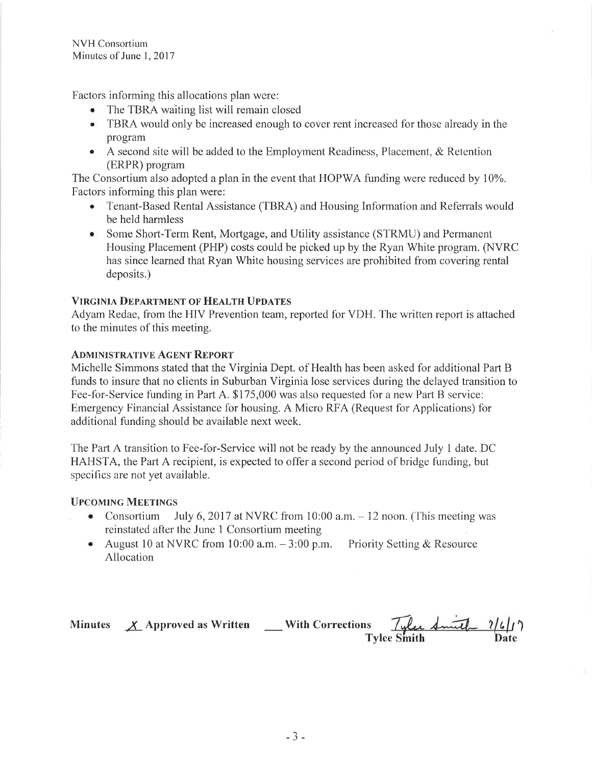Factors informing this allocations plan were:

- The TBRA waiting list will remain closed
- TBRA would only be increased enough to cover rent increased for those already in the program
- A second site will be added to the Employment Readiness, Placement, & Retention (ERPR) program

The Consortium also adopted a plan in the event that HOPWA funding were reduced by 10%. Factors informing this plan were:

- Tenant-Based Rental Assistance (TBRA) and Housing Information and Referrals would be held harmless
- Some Short-Term Rent, Mortgage, and Utility assistance (STRMU) and Permanent Housing Placement (PHP) costs could be picked up by the Ryan White program. (NVRC has since learned that Ryan White housing services are prohibited from covering rental deposits.)

## **VIRGINIA DEPARTMENT OF HEALTH UPDATES**

Adyam Redae, from the HIV Prevention team, reported for VDH. The written report is attached to the minutes of this meeting.

#### **ADMINISTRATIVE AGENT REPORT**

Michelle Simmons stated that the Virginia Dept. of Health has been asked for additional Part B funds to insure that no clients in Suburban Virginia lose services during the delayed transition to Fee-for-Service funding in Part A. \$175,000 was also requested for a new Part B service: Emergency Financial Assistance for housing, A Micro RFA (Request for Applications) for additional funding should be available next week.

The Part A transition to Fee-for-Service will not be ready by the announced July 1 date. DC HAHSTA, the Part A recipient, is expected to offer a second period of bridge funding, but specifics are not yet available.

### **UPCOMING MEETINGS**

- Consortium July 6, 2017 at NVRC from 10:00 a.m.  $-12$  noon. (This meeting was reinstated after the June 1 Consortium meeting
- August 10 at NVRC from 10:00 a.m.  $-3:00$  p.m. Priority Setting & Resource Allocation

Minutes  $X$  Approved as Written \_\_\_ With Corrections Tyle Smith 7/6/17 **Tylee Smith**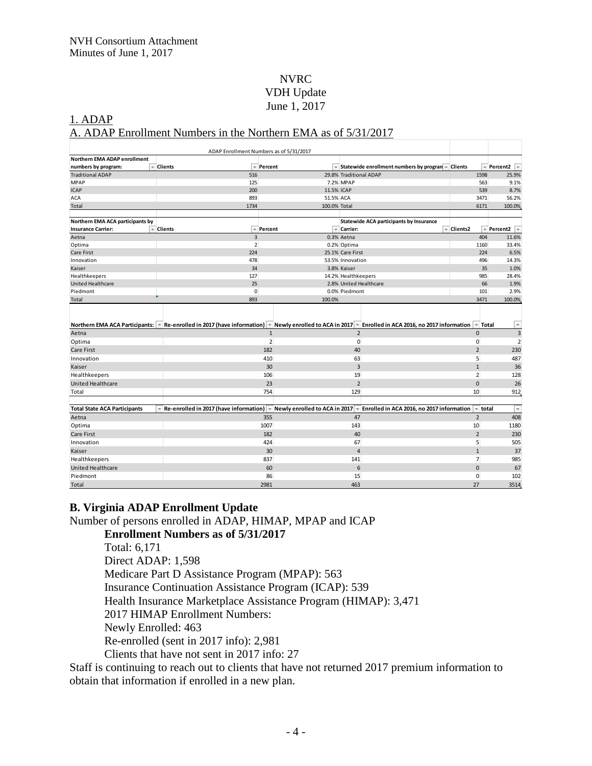## NVRC VDH Update June 1, 2017

#### 1. ADAP A. ADAP Enrollment Numbers in the Northern EMA as of 5/31/2017

|                                     | ADAP Enrollment Numbers as of 5/31/2017                                                                                                           |                |                                 |                     |                                                   |            |                |                      |
|-------------------------------------|---------------------------------------------------------------------------------------------------------------------------------------------------|----------------|---------------------------------|---------------------|---------------------------------------------------|------------|----------------|----------------------|
| <b>Northern EMA ADAP enrollment</b> |                                                                                                                                                   |                |                                 |                     |                                                   |            |                |                      |
| numbers by program:<br>÷.           | Clients<br>٠                                                                                                                                      | Percent        |                                 |                     | Statewide enrollment numbers by program - Clients |            |                | Percent2             |
| <b>Traditional ADAP</b>             | 516                                                                                                                                               |                |                                 |                     | 29.8% Traditional ADAP                            |            | 1598           | 25.9%                |
| <b>MPAP</b>                         | 125                                                                                                                                               |                |                                 | 7.2% MPAP           |                                                   |            | 563            | 9.1%                 |
| <b>ICAP</b>                         | 200                                                                                                                                               |                | 11.5% ICAP                      |                     |                                                   |            | 539            | 8.7%                 |
| <b>ACA</b>                          | 893                                                                                                                                               |                | 51.5% ACA                       |                     |                                                   |            | 3471           | 56.2%                |
| Total                               | 1734                                                                                                                                              |                | 100.0% Total                    |                     |                                                   |            | 6171           | 100.0%               |
|                                     |                                                                                                                                                   |                |                                 |                     |                                                   |            |                |                      |
| Northern EMA ACA participants by    |                                                                                                                                                   |                |                                 |                     | <b>Statewide ACA participants by Insurance</b>    |            |                |                      |
| <b>Insurance Carrier:</b><br>÷      | <b>Clients</b><br>$\tau$                                                                                                                          | Percent        |                                 | = Carrier:          |                                                   | = Clients2 |                | Percent <sub>2</sub> |
| Aetna                               | $\overline{3}$                                                                                                                                    |                |                                 | 0.3% Aetna          |                                                   |            | 404            | 11.6%                |
| Optima                              | $\overline{2}$                                                                                                                                    |                |                                 | 0.2% Optima         |                                                   |            | 1160           | 33.4%                |
| Care First                          | 224                                                                                                                                               |                |                                 | 25.1% Care First    |                                                   |            | 224            | 6.5%                 |
| Innovation                          | 478                                                                                                                                               |                |                                 | 53.5% Innovation    |                                                   |            | 496            | 14.3%                |
| Kaiser                              | 34                                                                                                                                                |                |                                 | 3.8% Kaiser         |                                                   |            | 35             | 1.0%                 |
| Healthkeepers                       | 127                                                                                                                                               |                |                                 | 14.2% Healthkeepers |                                                   |            | 985            | 28.4%                |
| United Healthcare                   | 25                                                                                                                                                |                |                                 |                     | 2.8% United Healthcare                            |            | 66             | 1.9%                 |
| Piedmont                            | $\mathbf 0$                                                                                                                                       |                |                                 | 0.0% Piedmont       |                                                   |            | 101            | 2.9%                 |
| Total                               | 893                                                                                                                                               |                | 100.0%                          |                     |                                                   |            | 3471           | 100.0%               |
|                                     | Northern EMA ACA Participants: Re-enrolled in 2017 (have information) - Newly enrolled to ACA in 2017 - Enrolled in ACA 2016, no 2017 information |                |                                 |                     |                                                   |            | $=$ Total      | $\tau$               |
| Aetna                               |                                                                                                                                                   | $\mathbf{1}$   |                                 | $\overline{2}$      |                                                   |            | $\Omega$       | 3                    |
| Optima                              |                                                                                                                                                   | $\overline{2}$ |                                 | $\mathbf{0}$        |                                                   |            | $\mathbf{0}$   | $\overline{2}$       |
| Care First                          |                                                                                                                                                   | 182            |                                 | 40                  |                                                   |            | $\overline{2}$ | 230                  |
| Innovation                          |                                                                                                                                                   | 410            |                                 | 63                  |                                                   |            | 5              | 487                  |
| Kaiser                              |                                                                                                                                                   | 30             |                                 | $\overline{3}$      |                                                   |            | $\mathbf{1}$   | 36                   |
| Healthkeepers                       |                                                                                                                                                   | 106            |                                 | 19                  |                                                   |            | $\overline{2}$ | 128                  |
| United Healthcare                   |                                                                                                                                                   | 23             |                                 | $\overline{2}$      |                                                   |            | $\mathbf{0}$   | 26                   |
| Total                               |                                                                                                                                                   | 754            |                                 | 129                 |                                                   |            | 10             | 912                  |
|                                     |                                                                                                                                                   |                |                                 |                     |                                                   |            |                |                      |
| <b>Total State ACA Participants</b> | Re-enrolled in 2017 (have information) =                                                                                                          |                | Newly enrolled to ACA in 2017 - |                     | Enrolled in ACA 2016, no 2017 information         |            | $=$ total      | ×                    |
| Aetna                               |                                                                                                                                                   | 355            |                                 | 47                  |                                                   |            | $\overline{2}$ | 408                  |
| Optima                              |                                                                                                                                                   | 1007           |                                 | 143                 |                                                   |            | 10             | 1180                 |
| Care First                          |                                                                                                                                                   | 182            |                                 | 40                  |                                                   |            | $\overline{2}$ | 230                  |
| Innovation                          |                                                                                                                                                   | 424            |                                 | 67                  |                                                   |            | 5              | 505                  |
| Kaiser                              |                                                                                                                                                   | 30             |                                 | $\overline{4}$      |                                                   |            | $\mathbf{1}$   | 37                   |
| Healthkeepers                       |                                                                                                                                                   | 837            |                                 | 141                 |                                                   |            | $\overline{7}$ | 985                  |
| United Healthcare                   |                                                                                                                                                   | 60             |                                 | 6                   |                                                   |            | $\mathbf{0}$   | 67                   |
| Piedmont                            |                                                                                                                                                   | 86             |                                 | 15                  |                                                   |            | 0              | 102                  |
| Total                               |                                                                                                                                                   | 2981           |                                 | 463                 |                                                   |            | 27             | 3514                 |

### **B. Virginia ADAP Enrollment Update**

Number of persons enrolled in ADAP, HIMAP, MPAP and ICAP

### **Enrollment Numbers as of 5/31/2017**

Total: 6,171 Direct ADAP: 1,598 Medicare Part D Assistance Program (MPAP): 563 Insurance Continuation Assistance Program (ICAP): 539 Health Insurance Marketplace Assistance Program (HIMAP): 3,471 2017 HIMAP Enrollment Numbers: Newly Enrolled: 463 Re-enrolled (sent in 2017 info): 2,981 Clients that have not sent in 2017 info: 27

Staff is continuing to reach out to clients that have not returned 2017 premium information to obtain that information if enrolled in a new plan.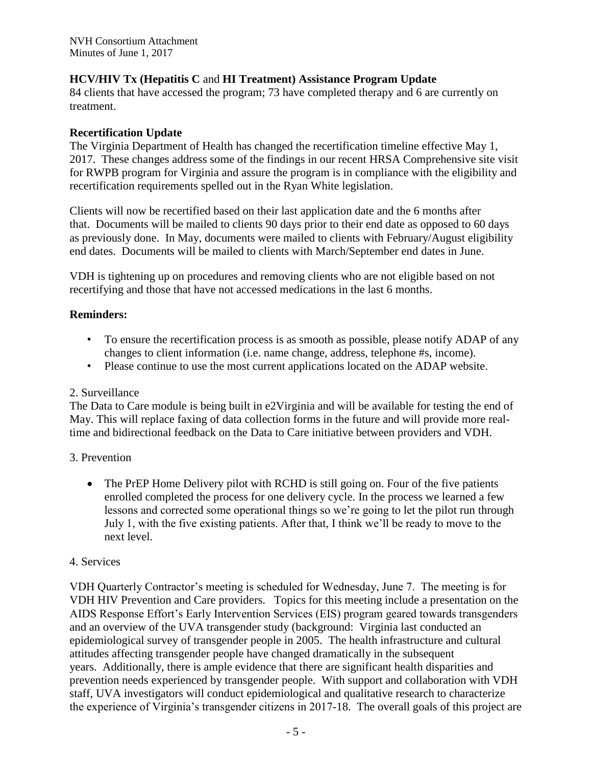NVH Consortium Attachment Minutes of June 1, 2017

# **HCV/HIV Tx (Hepatitis C** and **HI Treatment) Assistance Program Update**

84 clients that have accessed the program; 73 have completed therapy and 6 are currently on treatment.

## **Recertification Update**

The Virginia Department of Health has changed the recertification timeline effective May 1, 2017. These changes address some of the findings in our recent HRSA Comprehensive site visit for RWPB program for Virginia and assure the program is in compliance with the eligibility and recertification requirements spelled out in the Ryan White legislation.

Clients will now be recertified based on their last application date and the 6 months after that. Documents will be mailed to clients 90 days prior to their end date as opposed to 60 days as previously done. In May, documents were mailed to clients with February/August eligibility end dates. Documents will be mailed to clients with March/September end dates in June.

VDH is tightening up on procedures and removing clients who are not eligible based on not recertifying and those that have not accessed medications in the last 6 months.

## **Reminders:**

- To ensure the recertification process is as smooth as possible, please notify ADAP of any changes to client information (i.e. name change, address, telephone #s, income).
- Please continue to use the most current applications located on the ADAP website.

### 2. Surveillance

The Data to Care module is being built in e2Virginia and will be available for testing the end of May. This will replace faxing of data collection forms in the future and will provide more realtime and bidirectional feedback on the Data to Care initiative between providers and VDH.

### 3. Prevention

• The PrEP Home Delivery pilot with RCHD is still going on. Four of the five patients enrolled completed the process for one delivery cycle. In the process we learned a few lessons and corrected some operational things so we're going to let the pilot run through July 1, with the five existing patients. After that, I think we'll be ready to move to the next level.

### 4. Services

VDH Quarterly Contractor's meeting is scheduled for Wednesday, June 7. The meeting is for VDH HIV Prevention and Care providers. Topics for this meeting include a presentation on the AIDS Response Effort's Early Intervention Services (EIS) program geared towards transgenders and an overview of the UVA transgender study (background: Virginia last conducted an epidemiological survey of transgender people in 2005. The health infrastructure and cultural attitudes affecting transgender people have changed dramatically in the subsequent years. Additionally, there is ample evidence that there are significant health disparities and prevention needs experienced by transgender people. With support and collaboration with VDH staff, UVA investigators will conduct epidemiological and qualitative research to characterize the experience of Virginia's transgender citizens in 2017-18. The overall goals of this project are